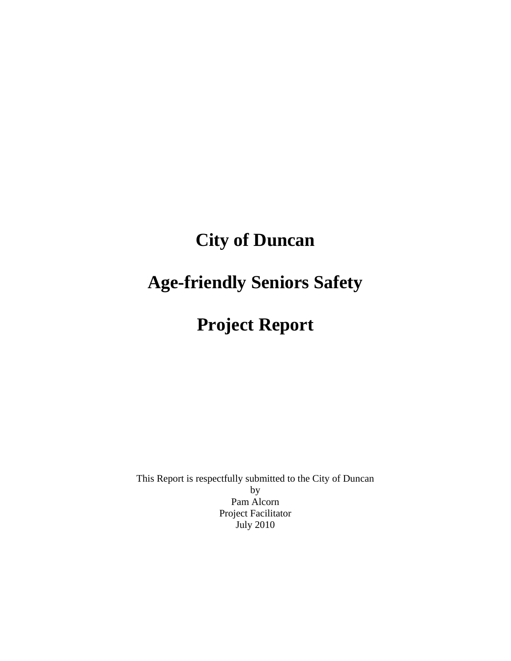# **City of Duncan**

# **Age-friendly Seniors Safety**

# **Project Report**

This Report is respectfully submitted to the City of Duncan by Pam Alcorn Project Facilitator July 2010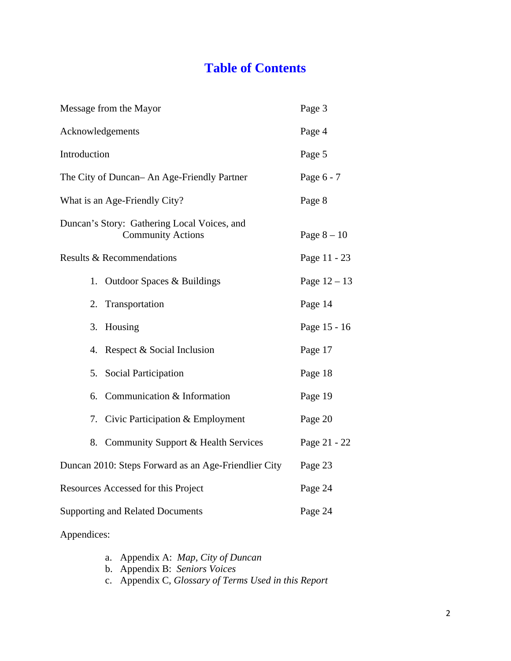# **Table of Contents**

| Message from the Mayor                                                  | Page 3         |
|-------------------------------------------------------------------------|----------------|
| Acknowledgements                                                        | Page 4         |
| Introduction                                                            | Page 5         |
| The City of Duncan– An Age-Friendly Partner                             | Page 6 - 7     |
| What is an Age-Friendly City?                                           | Page 8         |
| Duncan's Story: Gathering Local Voices, and<br><b>Community Actions</b> | Page $8-10$    |
| Results & Recommendations                                               | Page 11 - 23   |
| Outdoor Spaces & Buildings<br>1.                                        | Page $12 - 13$ |
| Transportation<br>2.                                                    | Page 14        |
| Housing<br>3.                                                           | Page 15 - 16   |
| 4. Respect & Social Inclusion                                           | Page 17        |
| 5. Social Participation                                                 | Page 18        |
| 6. Communication & Information                                          | Page 19        |
| 7. Civic Participation & Employment                                     | Page 20        |
| 8. Community Support & Health Services                                  | Page 21 - 22   |
| Duncan 2010: Steps Forward as an Age-Friendlier City                    | Page 23        |
| Resources Accessed for this Project                                     | Page 24        |
| <b>Supporting and Related Documents</b>                                 | Page 24        |
| Appendices:                                                             |                |

- a. Appendix A: *Map, City of Duncan*
- b. Appendix B: *Seniors Voices*
- c. Appendix C*, Glossary of Terms Used in this Report*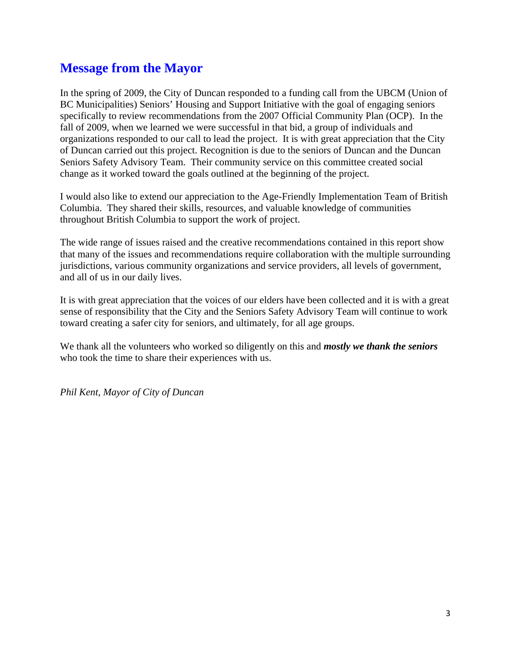# **Message from the Mayor**

In the spring of 2009, the City of Duncan responded to a funding call from the UBCM (Union of BC Municipalities) Seniors' Housing and Support Initiative with the goal of engaging seniors specifically to review recommendations from the 2007 Official Community Plan (OCP). In the fall of 2009, when we learned we were successful in that bid, a group of individuals and organizations responded to our call to lead the project. It is with great appreciation that the City of Duncan carried out this project. Recognition is due to the seniors of Duncan and the Duncan Seniors Safety Advisory Team. Their community service on this committee created social change as it worked toward the goals outlined at the beginning of the project.

I would also like to extend our appreciation to the Age-Friendly Implementation Team of British Columbia. They shared their skills, resources, and valuable knowledge of communities throughout British Columbia to support the work of project.

The wide range of issues raised and the creative recommendations contained in this report show that many of the issues and recommendations require collaboration with the multiple surrounding jurisdictions, various community organizations and service providers, all levels of government, and all of us in our daily lives.

It is with great appreciation that the voices of our elders have been collected and it is with a great sense of responsibility that the City and the Seniors Safety Advisory Team will continue to work toward creating a safer city for seniors, and ultimately, for all age groups.

We thank all the volunteers who worked so diligently on this and *mostly we thank the seniors* who took the time to share their experiences with us.

*Phil Kent, Mayor of City of Duncan*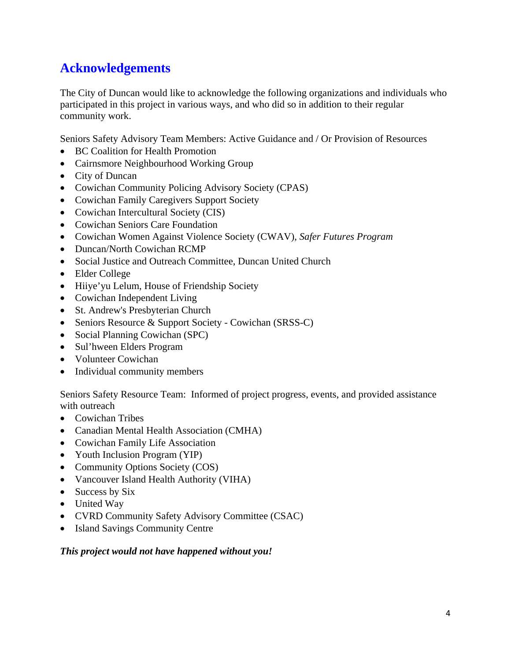# **Acknowledgements**

The City of Duncan would like to acknowledge the following organizations and individuals who participated in this project in various ways, and who did so in addition to their regular community work.

Seniors Safety Advisory Team Members: Active Guidance and / Or Provision of Resources

- BC Coalition for Health Promotion
- Cairnsmore Neighbourhood Working Group
- City of Duncan
- Cowichan Community Policing Advisory Society (CPAS)
- Cowichan Family Caregivers Support Society
- Cowichan Intercultural Society (CIS)
- Cowichan Seniors Care Foundation
- Cowichan Women Against Violence Society (CWAV), *Safer Futures Program*
- Duncan/North Cowichan RCMP
- Social Justice and Outreach Committee, Duncan United Church
- Elder College
- Hiiye'yu Lelum, House of Friendship Society
- Cowichan Independent Living
- St. Andrew's Presbyterian Church
- Seniors Resource & Support Society Cowichan (SRSS-C)
- Social Planning Cowichan (SPC)
- Sul'hween Elders Program
- Volunteer Cowichan
- Individual community members

Seniors Safety Resource Team: Informed of project progress, events, and provided assistance with outreach

- Cowichan Tribes
- Canadian Mental Health Association (CMHA)
- Cowichan Family Life Association
- Youth Inclusion Program (YIP)
- Community Options Society (COS)
- Vancouver Island Health Authority (VIHA)
- Success by Six
- United Way
- CVRD Community Safety Advisory Committee (CSAC)
- Island Savings Community Centre

#### *This project would not have happened without you!*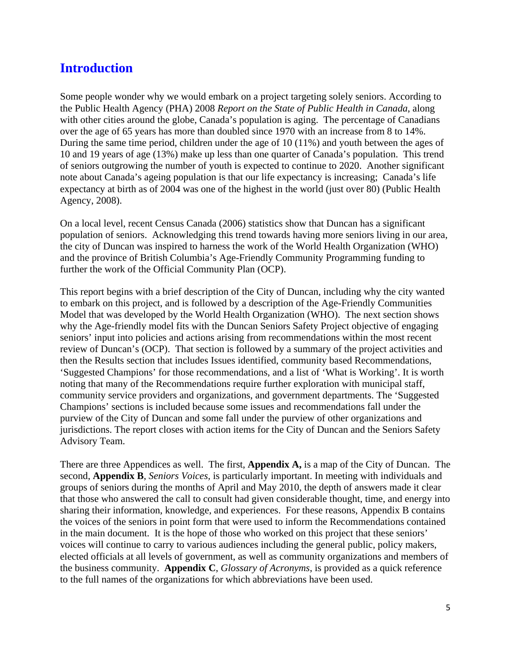# **Introduction**

Some people wonder why we would embark on a project targeting solely seniors. According to the Public Health Agency (PHA) 2008 *Report on the State of Public Health in Canada*, along with other cities around the globe, Canada's population is aging. The percentage of Canadians over the age of 65 years has more than doubled since 1970 with an increase from 8 to 14%. During the same time period, children under the age of 10 (11%) and youth between the ages of 10 and 19 years of age (13%) make up less than one quarter of Canada's population. This trend of seniors outgrowing the number of youth is expected to continue to 2020. Another significant note about Canada's ageing population is that our life expectancy is increasing; Canada's life expectancy at birth as of 2004 was one of the highest in the world (just over 80) (Public Health Agency, 2008).

On a local level, recent Census Canada (2006) statistics show that Duncan has a significant population of seniors. Acknowledging this trend towards having more seniors living in our area, the city of Duncan was inspired to harness the work of the World Health Organization (WHO) and the province of British Columbia's Age-Friendly Community Programming funding to further the work of the Official Community Plan (OCP).

This report begins with a brief description of the City of Duncan, including why the city wanted to embark on this project, and is followed by a description of the Age-Friendly Communities Model that was developed by the World Health Organization (WHO). The next section shows why the Age-friendly model fits with the Duncan Seniors Safety Project objective of engaging seniors' input into policies and actions arising from recommendations within the most recent review of Duncan's (OCP). That section is followed by a summary of the project activities and then the Results section that includes Issues identified, community based Recommendations, 'Suggested Champions' for those recommendations, and a list of 'What is Working'. It is worth noting that many of the Recommendations require further exploration with municipal staff, community service providers and organizations, and government departments. The 'Suggested Champions' sections is included because some issues and recommendations fall under the purview of the City of Duncan and some fall under the purview of other organizations and jurisdictions. The report closes with action items for the City of Duncan and the Seniors Safety Advisory Team.

There are three Appendices as well. The first, **Appendix A,** is a map of the City of Duncan. The second, **Appendix B**, *Seniors Voices,* is particularly important. In meeting with individuals and groups of seniors during the months of April and May 2010, the depth of answers made it clear that those who answered the call to consult had given considerable thought, time, and energy into sharing their information, knowledge, and experiences. For these reasons, Appendix B contains the voices of the seniors in point form that were used to inform the Recommendations contained in the main document. It is the hope of those who worked on this project that these seniors' voices will continue to carry to various audiences including the general public, policy makers, elected officials at all levels of government, as well as community organizations and members of the business community. **Appendix C**, *Glossary of Acronyms*, is provided as a quick reference to the full names of the organizations for which abbreviations have been used.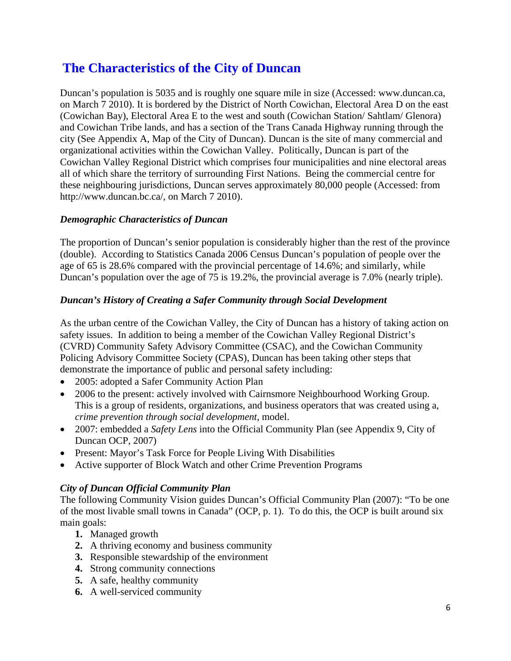# **The Characteristics of the City of Duncan**

Duncan's population is 5035 and is roughly one square mile in size (Accessed: www.duncan.ca, on March 7 2010). It is bordered by the District of North Cowichan, Electoral Area D on the east (Cowichan Bay), Electoral Area E to the west and south (Cowichan Station/ Sahtlam/ Glenora) and Cowichan Tribe lands, and has a section of the Trans Canada Highway running through the city (See Appendix A, Map of the City of Duncan). Duncan is the site of many commercial and organizational activities within the Cowichan Valley. Politically, Duncan is part of the Cowichan Valley Regional District which comprises four municipalities and nine electoral areas all of which share the territory of surrounding First Nations. Being the commercial centre for these neighbouring jurisdictions, Duncan serves approximately 80,000 people (Accessed: from http://www.duncan.bc.ca/, on March 7 2010).

#### *Demographic Characteristics of Duncan*

The proportion of Duncan's senior population is considerably higher than the rest of the province (double). According to Statistics Canada 2006 Census Duncan's population of people over the age of 65 is 28.6% compared with the provincial percentage of 14.6%; and similarly, while Duncan's population over the age of 75 is 19.2%, the provincial average is 7.0% (nearly triple).

#### *Duncan's History of Creating a Safer Community through Social Development*

As the urban centre of the Cowichan Valley, the City of Duncan has a history of taking action on safety issues. In addition to being a member of the Cowichan Valley Regional District's (CVRD) Community Safety Advisory Committee (CSAC), and the Cowichan Community Policing Advisory Committee Society (CPAS), Duncan has been taking other steps that demonstrate the importance of public and personal safety including:

- 2005: adopted a Safer Community Action Plan
- 2006 to the present: actively involved with Cairnsmore Neighbourhood Working Group. This is a group of residents, organizations, and business operators that was created using a, *crime prevention through social development,* model.
- 2007: embedded a *Safety Lens* into the Official Community Plan (see Appendix 9, City of Duncan OCP, 2007)
- Present: Mayor's Task Force for People Living With Disabilities
- Active supporter of Block Watch and other Crime Prevention Programs

#### *City of Duncan Official Community Plan*

The following Community Vision guides Duncan's Official Community Plan (2007): "To be one of the most livable small towns in Canada" (OCP, p. 1). To do this, the OCP is built around six main goals:

- **1.** Managed growth
- **2.** A thriving economy and business community
- **3.** Responsible stewardship of the environment
- **4.** Strong community connections
- **5.** A safe, healthy community
- **6.** A well-serviced community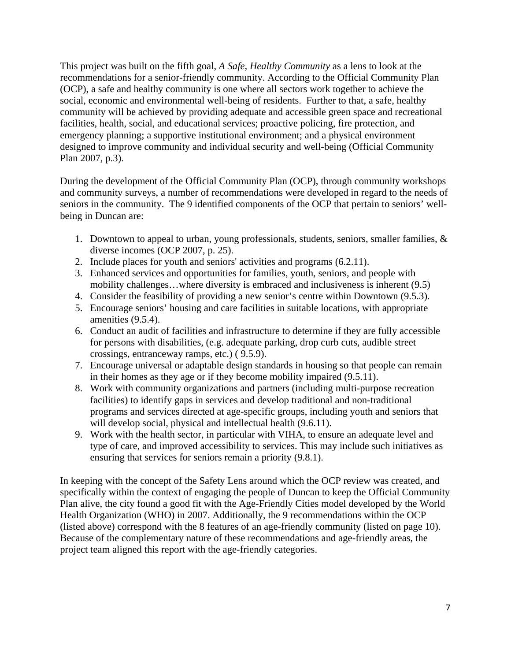This project was built on the fifth goal, *A Safe, Healthy Community* as a lens to look at the recommendations for a senior-friendly community. According to the Official Community Plan (OCP), a safe and healthy community is one where all sectors work together to achieve the social, economic and environmental well-being of residents. Further to that, a safe, healthy community will be achieved by providing adequate and accessible green space and recreational facilities, health, social, and educational services; proactive policing, fire protection, and emergency planning; a supportive institutional environment; and a physical environment designed to improve community and individual security and well-being (Official Community Plan 2007, p.3).

During the development of the Official Community Plan (OCP), through community workshops and community surveys, a number of recommendations were developed in regard to the needs of seniors in the community. The 9 identified components of the OCP that pertain to seniors' wellbeing in Duncan are:

- 1. Downtown to appeal to urban, young professionals, students, seniors, smaller families, & diverse incomes (OCP 2007, p. 25).
- 2. Include places for youth and seniors' activities and programs (6.2.11).
- 3. Enhanced services and opportunities for families, youth, seniors, and people with mobility challenges…where diversity is embraced and inclusiveness is inherent (9.5)
- 4. Consider the feasibility of providing a new senior's centre within Downtown (9.5.3).
- 5. Encourage seniors' housing and care facilities in suitable locations, with appropriate amenities (9.5.4).
- 6. Conduct an audit of facilities and infrastructure to determine if they are fully accessible for persons with disabilities, (e.g. adequate parking, drop curb cuts, audible street crossings, entranceway ramps, etc.) ( 9.5.9).
- 7. Encourage universal or adaptable design standards in housing so that people can remain in their homes as they age or if they become mobility impaired (9.5.11).
- 8. Work with community organizations and partners (including multi-purpose recreation facilities) to identify gaps in services and develop traditional and non-traditional programs and services directed at age-specific groups, including youth and seniors that will develop social, physical and intellectual health  $(9.6.11)$ .
- 9. Work with the health sector, in particular with VIHA, to ensure an adequate level and type of care, and improved accessibility to services. This may include such initiatives as ensuring that services for seniors remain a priority (9.8.1).

In keeping with the concept of the Safety Lens around which the OCP review was created, and specifically within the context of engaging the people of Duncan to keep the Official Community Plan alive, the city found a good fit with the Age-Friendly Cities model developed by the World Health Organization (WHO) in 2007. Additionally, the 9 recommendations within the OCP (listed above) correspond with the 8 features of an age-friendly community (listed on page 10). Because of the complementary nature of these recommendations and age-friendly areas, the project team aligned this report with the age-friendly categories.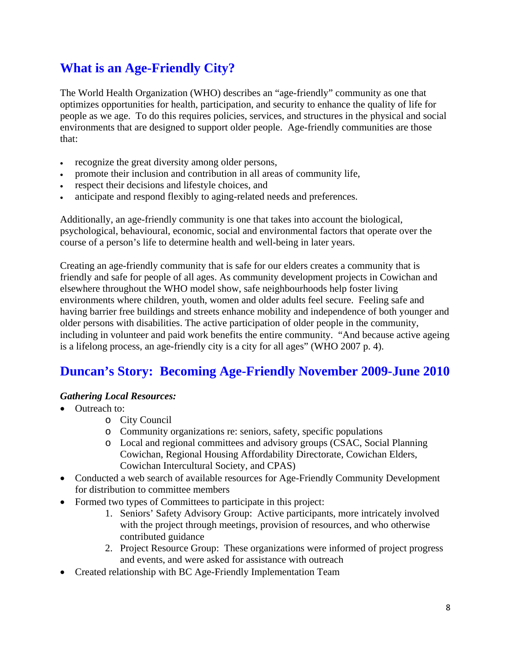# **What is an Age-Friendly City?**

The World Health Organization (WHO) describes an "age-friendly" community as one that optimizes opportunities for health, participation, and security to enhance the quality of life for people as we age. To do this requires policies, services, and structures in the physical and social environments that are designed to support older people. Age-friendly communities are those that:

- recognize the great diversity among older persons,
- promote their inclusion and contribution in all areas of community life,
- respect their decisions and lifestyle choices, and
- anticipate and respond flexibly to aging-related needs and preferences.

Additionally, an age-friendly community is one that takes into account the biological, psychological, behavioural, economic, social and environmental factors that operate over the course of a person's life to determine health and well-being in later years.

Creating an age-friendly community that is safe for our elders creates a community that is friendly and safe for people of all ages. As community development projects in Cowichan and elsewhere throughout the WHO model show, safe neighbourhoods help foster living environments where children, youth, women and older adults feel secure. Feeling safe and having barrier free buildings and streets enhance mobility and independence of both younger and older persons with disabilities. The active participation of older people in the community, including in volunteer and paid work benefits the entire community. "And because active ageing is a lifelong process, an age-friendly city is a city for all ages" (WHO 2007 p. 4).

# **Duncan's Story: Becoming Age-Friendly November 2009-June 2010**

## *Gathering Local Resources:*

- Outreach to:
	- o City Council
	- o Community organizations re: seniors, safety, specific populations
	- o Local and regional committees and advisory groups (CSAC, Social Planning Cowichan, Regional Housing Affordability Directorate, Cowichan Elders, Cowichan Intercultural Society, and CPAS)
- Conducted a web search of available resources for Age-Friendly Community Development for distribution to committee members
- Formed two types of Committees to participate in this project:
	- 1. Seniors' Safety Advisory Group: Active participants, more intricately involved with the project through meetings, provision of resources, and who otherwise contributed guidance
	- 2. Project Resource Group: These organizations were informed of project progress and events, and were asked for assistance with outreach
- Created relationship with BC Age-Friendly Implementation Team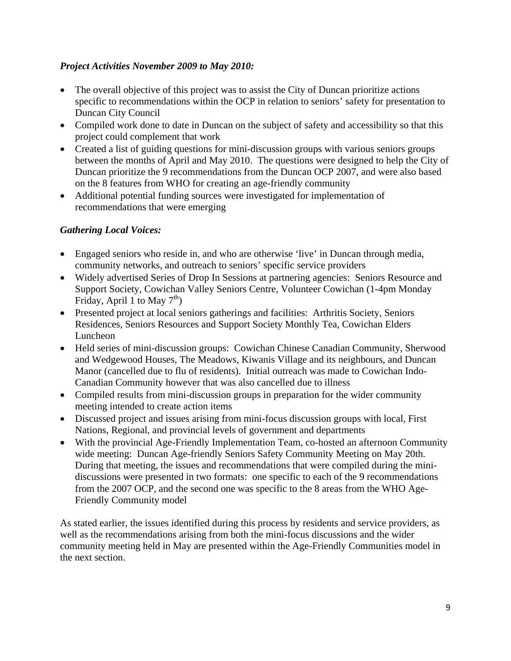### *Project Activities November 2009 to May 2010:*

- The overall objective of this project was to assist the City of Duncan prioritize actions specific to recommendations within the OCP in relation to seniors' safety for presentation to Duncan City Council
- Compiled work done to date in Duncan on the subject of safety and accessibility so that this project could complement that work
- Created a list of guiding questions for mini-discussion groups with various seniors groups between the months of April and May 2010. The questions were designed to help the City of Duncan prioritize the 9 recommendations from the Duncan OCP 2007, and were also based on the 8 features from WHO for creating an age-friendly community
- Additional potential funding sources were investigated for implementation of recommendations that were emerging

### *Gathering Local Voices:*

- Engaged seniors who reside in, and who are otherwise 'live' in Duncan through media, community networks, and outreach to seniors' specific service providers
- Widely advertised Series of Drop In Sessions at partnering agencies: Seniors Resource and Support Society, Cowichan Valley Seniors Centre, Volunteer Cowichan (1-4pm Monday Friday, April 1 to May  $7<sup>th</sup>$ )
- Presented project at local seniors gatherings and facilities: Arthritis Society, Seniors Residences, Seniors Resources and Support Society Monthly Tea, Cowichan Elders Luncheon
- Held series of mini-discussion groups: Cowichan Chinese Canadian Community, Sherwood and Wedgewood Houses, The Meadows, Kiwanis Village and its neighbours, and Duncan Manor (cancelled due to flu of residents). Initial outreach was made to Cowichan Indo-Canadian Community however that was also cancelled due to illness
- Compiled results from mini-discussion groups in preparation for the wider community meeting intended to create action items
- Discussed project and issues arising from mini-focus discussion groups with local, First Nations, Regional, and provincial levels of government and departments
- With the provincial Age-Friendly Implementation Team, co-hosted an afternoon Community wide meeting: Duncan Age-friendly Seniors Safety Community Meeting on May 20th. During that meeting, the issues and recommendations that were compiled during the minidiscussions were presented in two formats: one specific to each of the 9 recommendations from the 2007 OCP, and the second one was specific to the 8 areas from the WHO Age-Friendly Community model

As stated earlier, the issues identified during this process by residents and service providers, as well as the recommendations arising from both the mini-focus discussions and the wider community meeting held in May are presented within the Age-Friendly Communities model in the next section.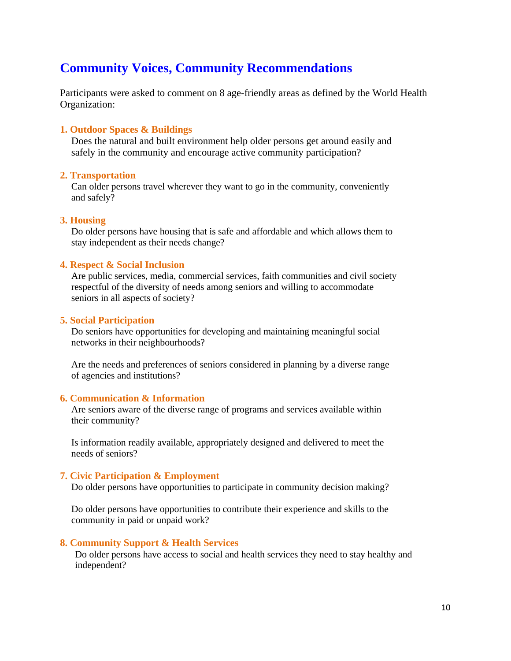# **Community Voices, Community Recommendations**

Participants were asked to comment on 8 age-friendly areas as defined by the World Health Organization:

#### **1. Outdoor Spaces & Buildings**

Does the natural and built environment help older persons get around easily and safely in the community and encourage active community participation?

#### **2. Transportation**

Can older persons travel wherever they want to go in the community, conveniently and safely?

#### **3. Housing**

Do older persons have housing that is safe and affordable and which allows them to stay independent as their needs change?

#### **4. Respect & Social Inclusion**

Are public services, media, commercial services, faith communities and civil society respectful of the diversity of needs among seniors and willing to accommodate seniors in all aspects of society?

#### **5. Social Participation**

Do seniors have opportunities for developing and maintaining meaningful social networks in their neighbourhoods?

Are the needs and preferences of seniors considered in planning by a diverse range of agencies and institutions?

#### **6. Communication & Information**

Are seniors aware of the diverse range of programs and services available within their community?

Is information readily available, appropriately designed and delivered to meet the needs of seniors?

#### **7. Civic Participation & Employment**

Do older persons have opportunities to participate in community decision making?

Do older persons have opportunities to contribute their experience and skills to the community in paid or unpaid work?

#### **8. Community Support & Health Services**

Do older persons have access to social and health services they need to stay healthy and independent?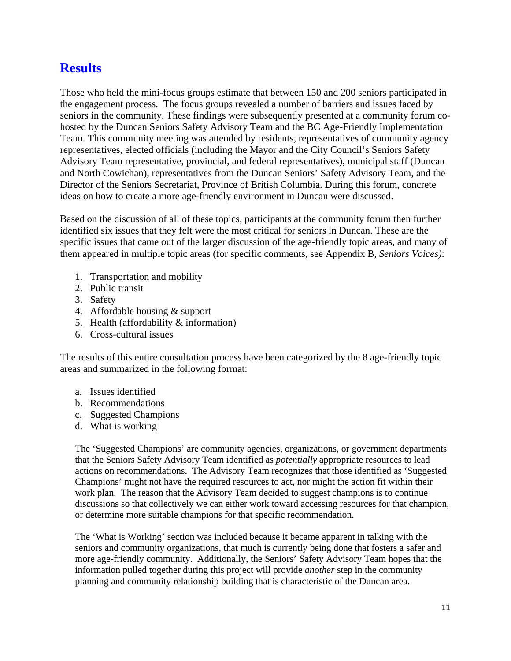# **Results**

Those who held the mini-focus groups estimate that between 150 and 200 seniors participated in the engagement process. The focus groups revealed a number of barriers and issues faced by seniors in the community. These findings were subsequently presented at a community forum cohosted by the Duncan Seniors Safety Advisory Team and the BC Age-Friendly Implementation Team. This community meeting was attended by residents, representatives of community agency representatives, elected officials (including the Mayor and the City Council's Seniors Safety Advisory Team representative, provincial, and federal representatives), municipal staff (Duncan and North Cowichan), representatives from the Duncan Seniors' Safety Advisory Team, and the Director of the Seniors Secretariat, Province of British Columbia. During this forum, concrete ideas on how to create a more age-friendly environment in Duncan were discussed.

Based on the discussion of all of these topics, participants at the community forum then further identified six issues that they felt were the most critical for seniors in Duncan. These are the specific issues that came out of the larger discussion of the age-friendly topic areas, and many of them appeared in multiple topic areas (for specific comments, see Appendix B, *Seniors Voices)*:

- 1. Transportation and mobility
- 2. Public transit
- 3. Safety
- 4. Affordable housing & support
- 5. Health (affordability & information)
- 6. Cross-cultural issues

The results of this entire consultation process have been categorized by the 8 age-friendly topic areas and summarized in the following format:

- a. Issues identified
- b. Recommendations
- c. Suggested Champions
- d. What is working

The 'Suggested Champions' are community agencies, organizations, or government departments that the Seniors Safety Advisory Team identified as *potentially* appropriate resources to lead actions on recommendations. The Advisory Team recognizes that those identified as 'Suggested Champions' might not have the required resources to act, nor might the action fit within their work plan. The reason that the Advisory Team decided to suggest champions is to continue discussions so that collectively we can either work toward accessing resources for that champion, or determine more suitable champions for that specific recommendation.

The 'What is Working' section was included because it became apparent in talking with the seniors and community organizations, that much is currently being done that fosters a safer and more age-friendly community. Additionally, the Seniors' Safety Advisory Team hopes that the information pulled together during this project will provide *another* step in the community planning and community relationship building that is characteristic of the Duncan area.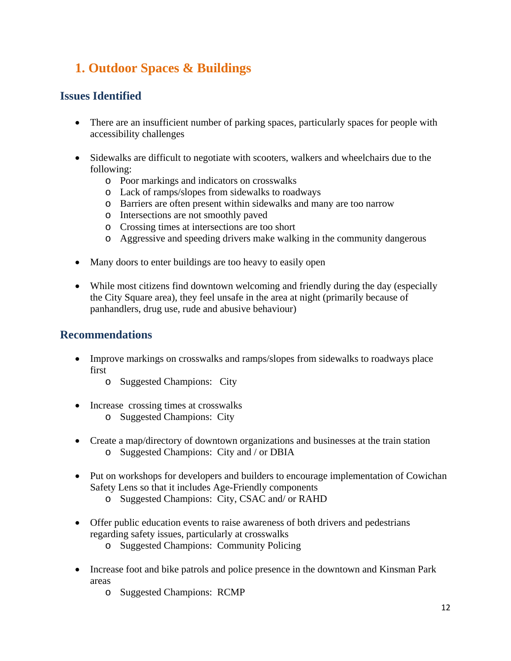# **1. Outdoor Spaces & Buildings**

# **Issues Identified**

- There are an insufficient number of parking spaces, particularly spaces for people with accessibility challenges
- Sidewalks are difficult to negotiate with scooters, walkers and wheelchairs due to the following:
	- o Poor markings and indicators on crosswalks
	- o Lack of ramps/slopes from sidewalks to roadways
	- o Barriers are often present within sidewalks and many are too narrow
	- o Intersections are not smoothly paved
	- o Crossing times at intersections are too short
	- o Aggressive and speeding drivers make walking in the community dangerous
- Many doors to enter buildings are too heavy to easily open
- While most citizens find downtown welcoming and friendly during the day (especially the City Square area), they feel unsafe in the area at night (primarily because of panhandlers, drug use, rude and abusive behaviour)

## **Recommendations**

- Improve markings on crosswalks and ramps/slopes from sidewalks to roadways place first
	- o Suggested Champions: City
- Increase crossing times at crosswalks
	- o Suggested Champions: City
- Create a map/directory of downtown organizations and businesses at the train station o Suggested Champions: City and / or DBIA
- Put on workshops for developers and builders to encourage implementation of Cowichan Safety Lens so that it includes Age-Friendly components
	- o Suggested Champions: City, CSAC and/ or RAHD
- Offer public education events to raise awareness of both drivers and pedestrians regarding safety issues, particularly at crosswalks
	- o Suggested Champions: Community Policing
- Increase foot and bike patrols and police presence in the downtown and Kinsman Park areas
	- o Suggested Champions: RCMP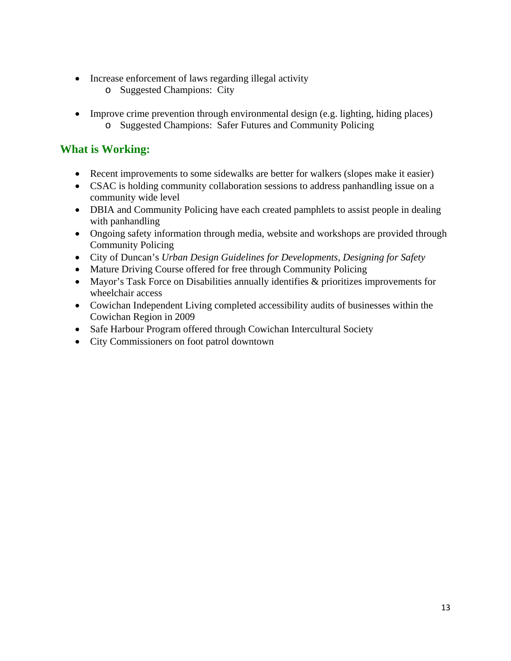- Increase enforcement of laws regarding illegal activity
	- o Suggested Champions: City
- Improve crime prevention through environmental design (e.g. lighting, hiding places) o Suggested Champions: Safer Futures and Community Policing

- Recent improvements to some sidewalks are better for walkers (slopes make it easier)
- CSAC is holding community collaboration sessions to address panhandling issue on a community wide level
- DBIA and Community Policing have each created pamphlets to assist people in dealing with panhandling
- Ongoing safety information through media, website and workshops are provided through Community Policing
- City of Duncan's *Urban Design Guidelines for Developments, Designing for Safety*
- Mature Driving Course offered for free through Community Policing
- Mayor's Task Force on Disabilities annually identifies & prioritizes improvements for wheelchair access
- Cowichan Independent Living completed accessibility audits of businesses within the Cowichan Region in 2009
- Safe Harbour Program offered through Cowichan Intercultural Society
- City Commissioners on foot patrol downtown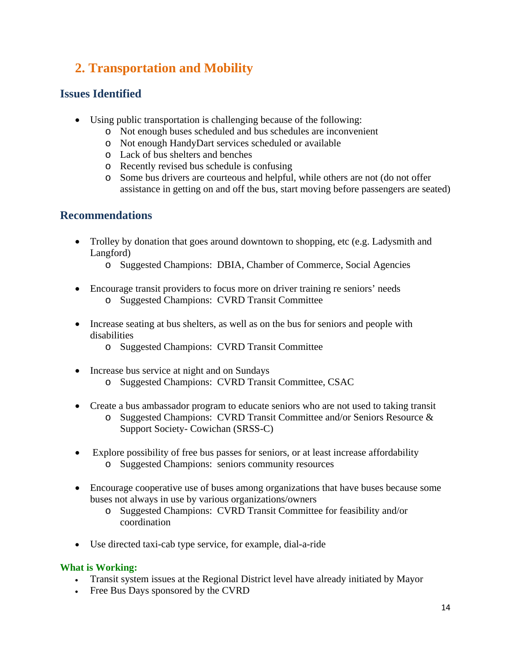# **2. Transportation and Mobility**

# **Issues Identified**

- Using public transportation is challenging because of the following:
	- o Not enough buses scheduled and bus schedules are inconvenient
	- o Not enough HandyDart services scheduled or available
	- o Lack of bus shelters and benches
	- o Recently revised bus schedule is confusing
	- o Some bus drivers are courteous and helpful, while others are not (do not offer assistance in getting on and off the bus, start moving before passengers are seated)

# **Recommendations**

- Trolley by donation that goes around downtown to shopping, etc (e.g. Ladysmith and Langford)
	- o Suggested Champions: DBIA, Chamber of Commerce, Social Agencies
- Encourage transit providers to focus more on driver training re seniors' needs o Suggested Champions: CVRD Transit Committee
- Increase seating at bus shelters, as well as on the bus for seniors and people with disabilities
	- o Suggested Champions: CVRD Transit Committee
- Increase bus service at night and on Sundays o Suggested Champions: CVRD Transit Committee, CSAC
- Create a bus ambassador program to educate seniors who are not used to taking transit
	- o Suggested Champions: CVRD Transit Committee and/or Seniors Resource & Support Society- Cowichan (SRSS-C)
- Explore possibility of free bus passes for seniors, or at least increase affordability o Suggested Champions: seniors community resources
- Encourage cooperative use of buses among organizations that have buses because some buses not always in use by various organizations/owners
	- o Suggested Champions: CVRD Transit Committee for feasibility and/or coordination
- Use directed taxi-cab type service, for example, dial-a-ride

- Transit system issues at the Regional District level have already initiated by Mayor
- Free Bus Days sponsored by the CVRD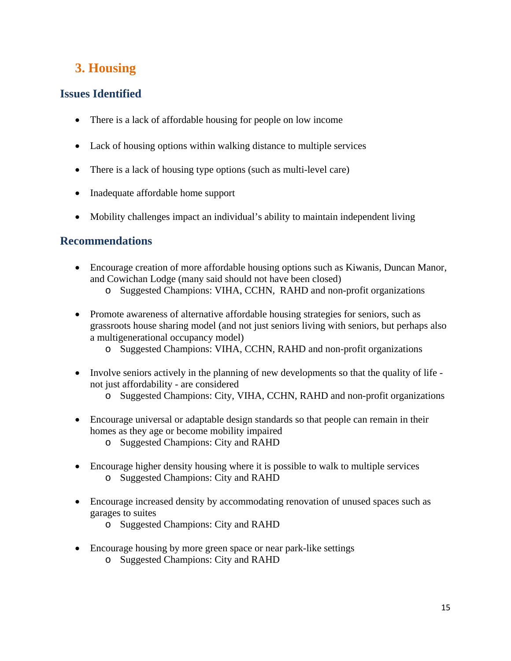# **3. Housing**

# **Issues Identified**

- There is a lack of affordable housing for people on low income
- Lack of housing options within walking distance to multiple services
- There is a lack of housing type options (such as multi-level care)
- Inadequate affordable home support
- Mobility challenges impact an individual's ability to maintain independent living

# **Recommendations**

- Encourage creation of more affordable housing options such as Kiwanis, Duncan Manor, and Cowichan Lodge (many said should not have been closed)
	- o Suggested Champions: VIHA, CCHN, RAHD and non-profit organizations
- Promote awareness of alternative affordable housing strategies for seniors, such as grassroots house sharing model (and not just seniors living with seniors, but perhaps also a multigenerational occupancy model)
	- o Suggested Champions: VIHA, CCHN, RAHD and non-profit organizations
- Involve seniors actively in the planning of new developments so that the quality of life not just affordability - are considered
	- o Suggested Champions: City, VIHA, CCHN, RAHD and non-profit organizations
- Encourage universal or adaptable design standards so that people can remain in their homes as they age or become mobility impaired
	- o Suggested Champions: City and RAHD
- Encourage higher density housing where it is possible to walk to multiple services o Suggested Champions: City and RAHD
- Encourage increased density by accommodating renovation of unused spaces such as garages to suites
	- o Suggested Champions: City and RAHD
- Encourage housing by more green space or near park-like settings
	- o Suggested Champions: City and RAHD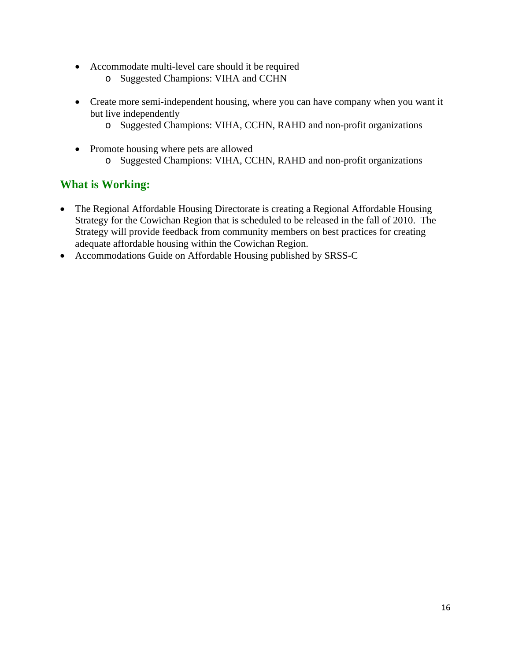- Accommodate multi-level care should it be required
	- o Suggested Champions: VIHA and CCHN
- Create more semi-independent housing, where you can have company when you want it but live independently
	- o Suggested Champions: VIHA, CCHN, RAHD and non-profit organizations
- Promote housing where pets are allowed o Suggested Champions: VIHA, CCHN, RAHD and non-profit organizations

- The Regional Affordable Housing Directorate is creating a Regional Affordable Housing Strategy for the Cowichan Region that is scheduled to be released in the fall of 2010. The Strategy will provide feedback from community members on best practices for creating adequate affordable housing within the Cowichan Region.
- Accommodations Guide on Affordable Housing published by SRSS-C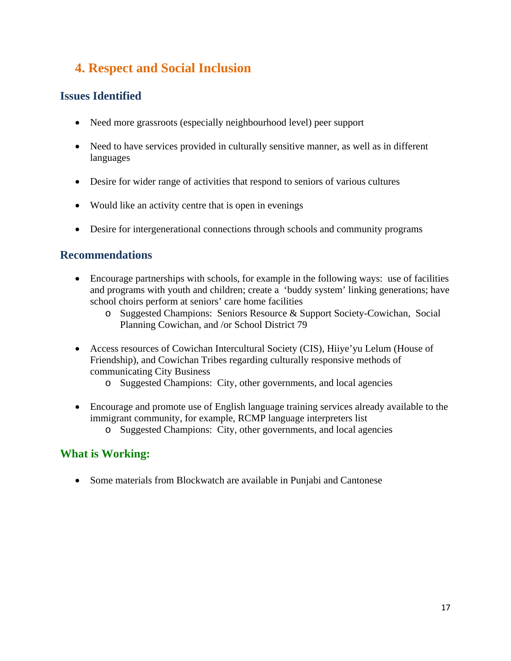# **4. Respect and Social Inclusion**

# **Issues Identified**

- Need more grassroots (especially neighbourhood level) peer support
- Need to have services provided in culturally sensitive manner, as well as in different languages
- Desire for wider range of activities that respond to seniors of various cultures
- Would like an activity centre that is open in evenings
- Desire for intergenerational connections through schools and community programs

## **Recommendations**

- Encourage partnerships with schools, for example in the following ways: use of facilities and programs with youth and children; create a 'buddy system' linking generations; have school choirs perform at seniors' care home facilities
	- o Suggested Champions: Seniors Resource & Support Society-Cowichan, Social Planning Cowichan, and /or School District 79
- Access resources of Cowichan Intercultural Society (CIS), Hiiye'yu Lelum (House of Friendship), and Cowichan Tribes regarding culturally responsive methods of communicating City Business
	- o Suggested Champions: City, other governments, and local agencies
- Encourage and promote use of English language training services already available to the immigrant community, for example, RCMP language interpreters list
	- o Suggested Champions: City, other governments, and local agencies

# **What is Working:**

• Some materials from Blockwatch are available in Punjabi and Cantonese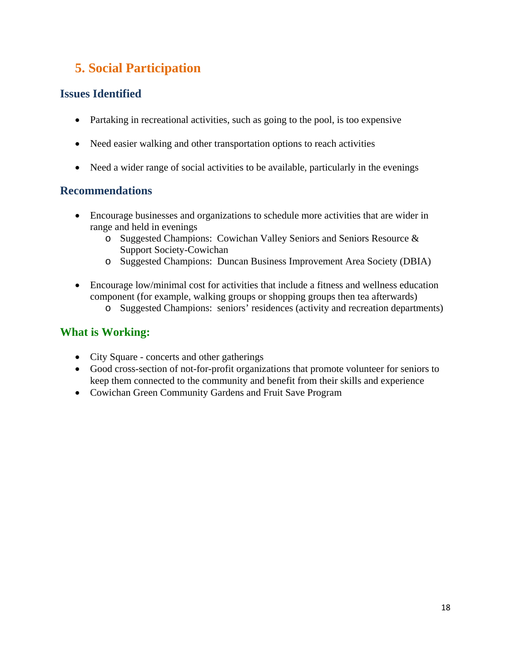# **5. Social Participation**

# **Issues Identified**

- Partaking in recreational activities, such as going to the pool, is too expensive
- Need easier walking and other transportation options to reach activities
- Need a wider range of social activities to be available, particularly in the evenings

# **Recommendations**

- Encourage businesses and organizations to schedule more activities that are wider in range and held in evenings
	- o Suggested Champions: Cowichan Valley Seniors and Seniors Resource & Support Society-Cowichan
	- o Suggested Champions: Duncan Business Improvement Area Society (DBIA)
- Encourage low/minimal cost for activities that include a fitness and wellness education component (for example, walking groups or shopping groups then tea afterwards)
	- o Suggested Champions: seniors' residences (activity and recreation departments)

- City Square concerts and other gatherings
- Good cross-section of not-for-profit organizations that promote volunteer for seniors to keep them connected to the community and benefit from their skills and experience
- Cowichan Green Community Gardens and Fruit Save Program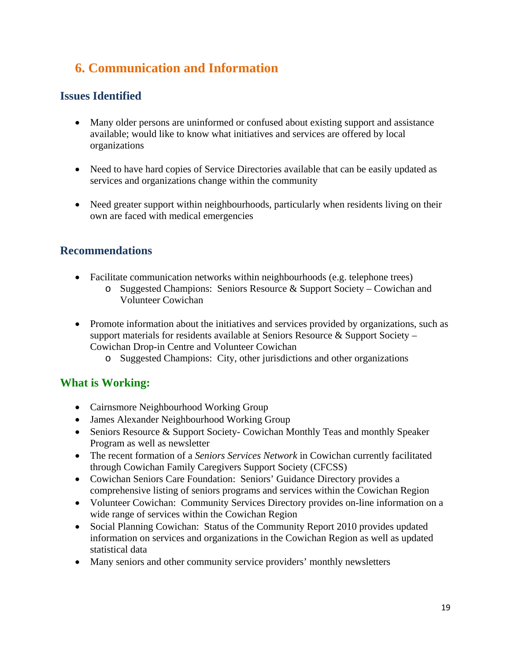# **6. Communication and Information**

# **Issues Identified**

- Many older persons are uninformed or confused about existing support and assistance available; would like to know what initiatives and services are offered by local organizations
- Need to have hard copies of Service Directories available that can be easily updated as services and organizations change within the community
- Need greater support within neighbourhoods, particularly when residents living on their own are faced with medical emergencies

# **Recommendations**

- Facilitate communication networks within neighbourhoods (e.g. telephone trees)
	- o Suggested Champions: Seniors Resource & Support Society Cowichan and Volunteer Cowichan
- Promote information about the initiatives and services provided by organizations, such as support materials for residents available at Seniors Resource  $\&$  Support Society – Cowichan Drop-in Centre and Volunteer Cowichan
	- o Suggested Champions: City, other jurisdictions and other organizations

- Cairnsmore Neighbourhood Working Group
- James Alexander Neighbourhood Working Group
- Seniors Resource & Support Society- Cowichan Monthly Teas and monthly Speaker Program as well as newsletter
- The recent formation of a *Seniors Services Network* in Cowichan currently facilitated through Cowichan Family Caregivers Support Society (CFCSS)
- Cowichan Seniors Care Foundation: Seniors' Guidance Directory provides a comprehensive listing of seniors programs and services within the Cowichan Region
- Volunteer Cowichan: Community Services Directory provides on-line information on a wide range of services within the Cowichan Region
- Social Planning Cowichan: Status of the Community Report 2010 provides updated information on services and organizations in the Cowichan Region as well as updated statistical data
- Many seniors and other community service providers' monthly newsletters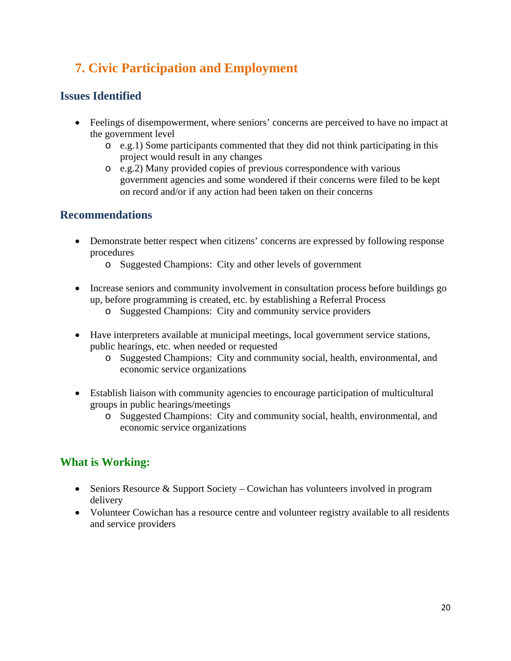# **7. Civic Participation and Employment**

# **Issues Identified**

- Feelings of disempowerment, where seniors' concerns are perceived to have no impact at the government level
	- o e.g.1) Some participants commented that they did not think participating in this project would result in any changes
	- o e.g.2) Many provided copies of previous correspondence with various government agencies and some wondered if their concerns were filed to be kept on record and/or if any action had been taken on their concerns

# **Recommendations**

- Demonstrate better respect when citizens' concerns are expressed by following response procedures
	- o Suggested Champions: City and other levels of government
- Increase seniors and community involvement in consultation process before buildings go up, before programming is created, etc. by establishing a Referral Process
	- o Suggested Champions: City and community service providers
- Have interpreters available at municipal meetings, local government service stations, public hearings, etc. when needed or requested
	- o Suggested Champions: City and community social, health, environmental, and economic service organizations
- Establish liaison with community agencies to encourage participation of multicultural groups in public hearings/meetings
	- o Suggested Champions: City and community social, health, environmental, and economic service organizations

- Seniors Resource & Support Society Cowichan has volunteers involved in program delivery
- Volunteer Cowichan has a resource centre and volunteer registry available to all residents and service providers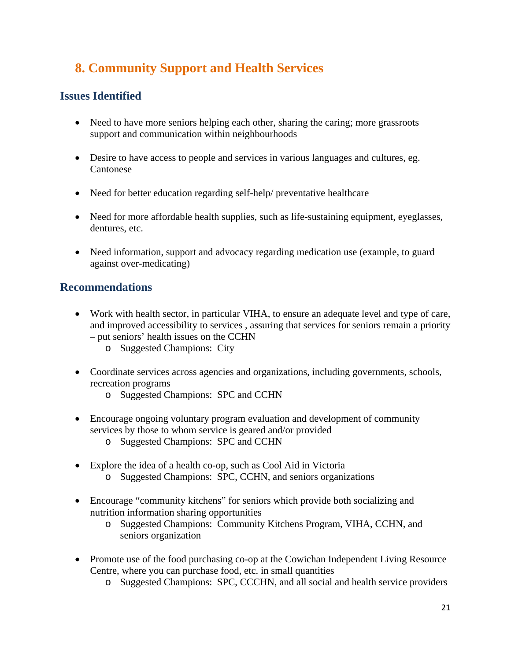# **8. Community Support and Health Services**

# **Issues Identified**

- Need to have more seniors helping each other, sharing the caring; more grassroots support and communication within neighbourhoods
- Desire to have access to people and services in various languages and cultures, eg. Cantonese
- Need for better education regarding self-help/ preventative healthcare
- Need for more affordable health supplies, such as life-sustaining equipment, eyeglasses, dentures, etc.
- Need information, support and advocacy regarding medication use (example, to guard against over-medicating)

## **Recommendations**

- Work with health sector, in particular VIHA, to ensure an adequate level and type of care, and improved accessibility to services , assuring that services for seniors remain a priority – put seniors' health issues on the CCHN
	- o Suggested Champions: City
- Coordinate services across agencies and organizations, including governments, schools, recreation programs
	- o Suggested Champions: SPC and CCHN
- Encourage ongoing voluntary program evaluation and development of community services by those to whom service is geared and/or provided
	- o Suggested Champions: SPC and CCHN
- Explore the idea of a health co-op, such as Cool Aid in Victoria o Suggested Champions: SPC, CCHN, and seniors organizations
- Encourage "community kitchens" for seniors which provide both socializing and nutrition information sharing opportunities
	- o Suggested Champions: Community Kitchens Program, VIHA, CCHN, and seniors organization
- Promote use of the food purchasing co-op at the Cowichan Independent Living Resource Centre, where you can purchase food, etc. in small quantities
	- o Suggested Champions: SPC, CCCHN, and all social and health service providers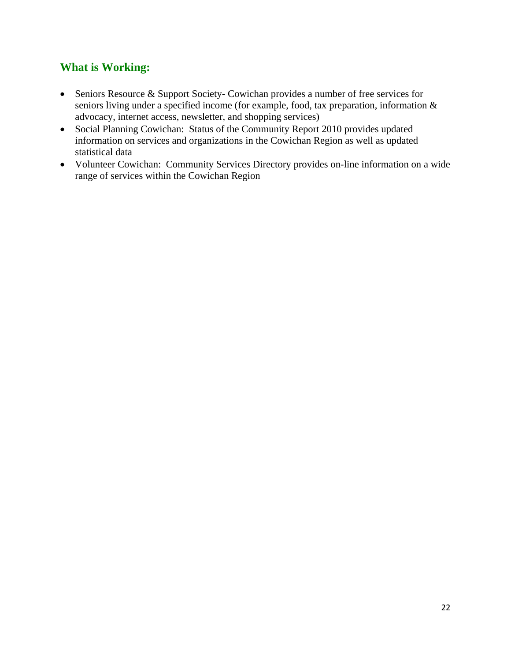- Seniors Resource & Support Society- Cowichan provides a number of free services for seniors living under a specified income (for example, food, tax preparation, information & advocacy, internet access, newsletter, and shopping services)
- Social Planning Cowichan: Status of the Community Report 2010 provides updated information on services and organizations in the Cowichan Region as well as updated statistical data
- Volunteer Cowichan: Community Services Directory provides on-line information on a wide range of services within the Cowichan Region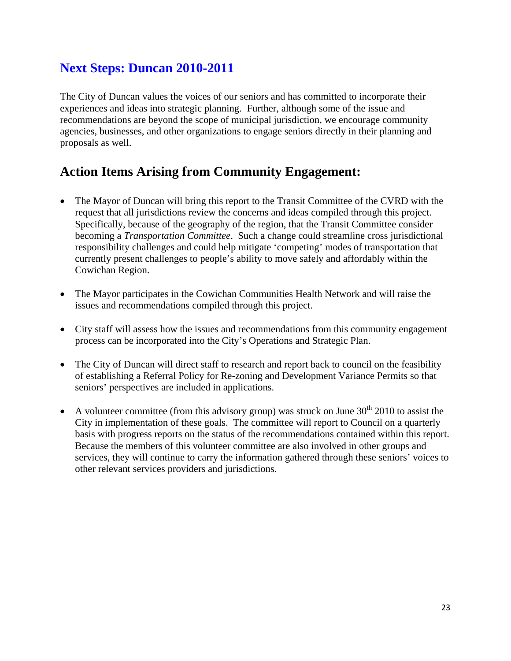# **Next Steps: Duncan 2010-2011**

The City of Duncan values the voices of our seniors and has committed to incorporate their experiences and ideas into strategic planning. Further, although some of the issue and recommendations are beyond the scope of municipal jurisdiction, we encourage community agencies, businesses, and other organizations to engage seniors directly in their planning and proposals as well.

# **Action Items Arising from Community Engagement:**

- The Mayor of Duncan will bring this report to the Transit Committee of the CVRD with the request that all jurisdictions review the concerns and ideas compiled through this project. Specifically, because of the geography of the region, that the Transit Committee consider becoming a *Transportation Committee*. Such a change could streamline cross jurisdictional responsibility challenges and could help mitigate 'competing' modes of transportation that currently present challenges to people's ability to move safely and affordably within the Cowichan Region.
- The Mayor participates in the Cowichan Communities Health Network and will raise the issues and recommendations compiled through this project.
- City staff will assess how the issues and recommendations from this community engagement process can be incorporated into the City's Operations and Strategic Plan.
- The City of Duncan will direct staff to research and report back to council on the feasibility of establishing a Referral Policy for Re-zoning and Development Variance Permits so that seniors' perspectives are included in applications.
- A volunteer committee (from this advisory group) was struck on June  $30<sup>th</sup> 2010$  to assist the City in implementation of these goals. The committee will report to Council on a quarterly basis with progress reports on the status of the recommendations contained within this report. Because the members of this volunteer committee are also involved in other groups and services, they will continue to carry the information gathered through these seniors' voices to other relevant services providers and jurisdictions.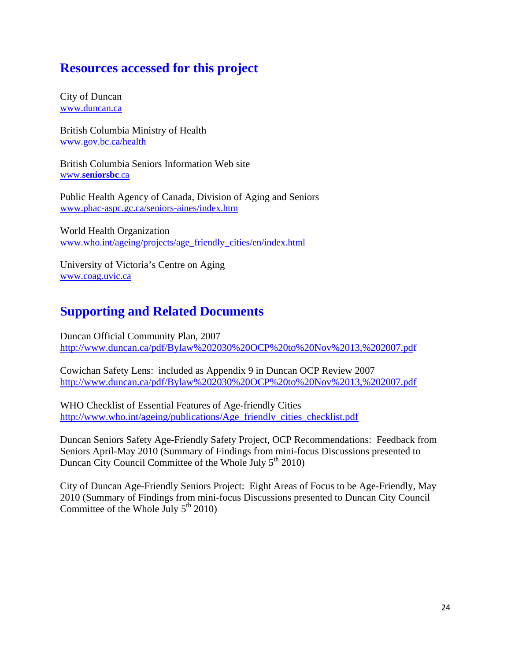# **Resources accessed for this project**

City of Duncan www.duncan.ca

British Columbia Ministry of Health www.gov.bc.ca/health

British Columbia Seniors Information Web site www.**seniorsbc**.ca

Public Health Agency of Canada, Division of Aging and Seniors www.phac-aspc.gc.ca/seniors-aines/index.htm

World Health Organization www.who.int/ageing/projects/age\_friendly\_cities/en/index.html

University of Victoria's Centre on Aging www.coag.uvic.ca

# **Supporting and Related Documents**

Duncan Official Community Plan, 2007 http://www.duncan.ca/pdf/Bylaw%202030%20OCP%20to%20Nov%2013,%202007.pdf

Cowichan Safety Lens: included as Appendix 9 in Duncan OCP Review 2007 http://www.duncan.ca/pdf/Bylaw%202030%20OCP%20to%20Nov%2013,%202007.pdf

WHO Checklist of Essential Features of Age-friendly Cities http://www.who.int/ageing/publications/Age\_friendly\_cities\_checklist.pdf

Duncan Seniors Safety Age-Friendly Safety Project, OCP Recommendations: Feedback from Seniors April-May 2010 (Summary of Findings from mini-focus Discussions presented to Duncan City Council Committee of the Whole July  $5<sup>th</sup> 2010$ )

City of Duncan Age-Friendly Seniors Project: Eight Areas of Focus to be Age-Friendly, May 2010 (Summary of Findings from mini-focus Discussions presented to Duncan City Council Committee of the Whole July  $5<sup>th</sup> 2010$ )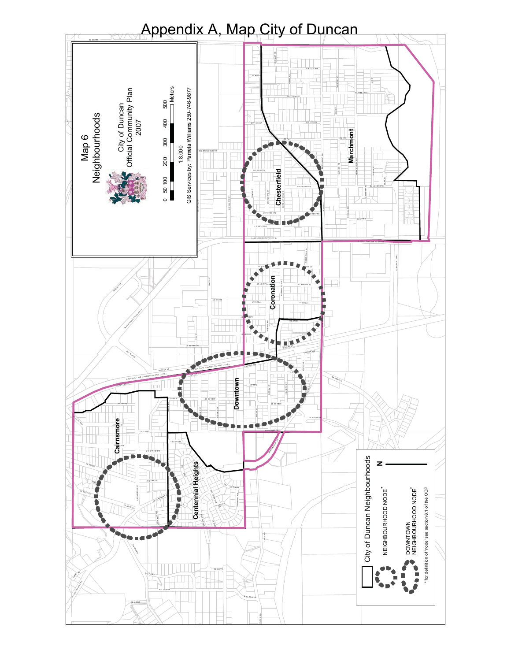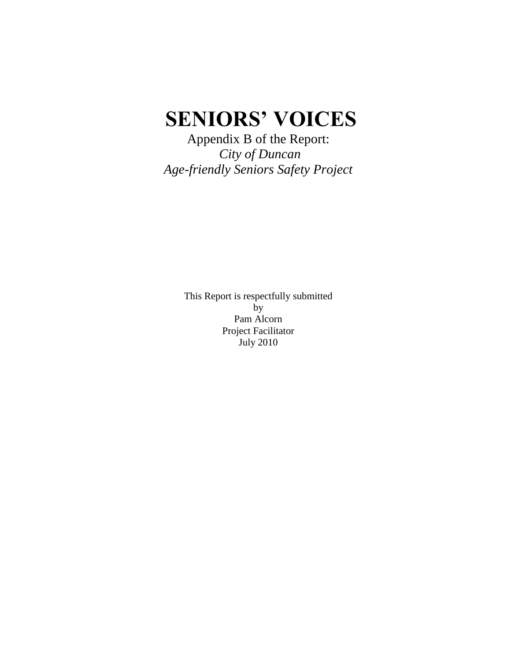# **SENIORS' VOICES**

Appendix B of the Report: *City of Duncan Age-friendly Seniors Safety Project*

> This Report is respectfully submitted by Pam Alcorn Project Facilitator July 2010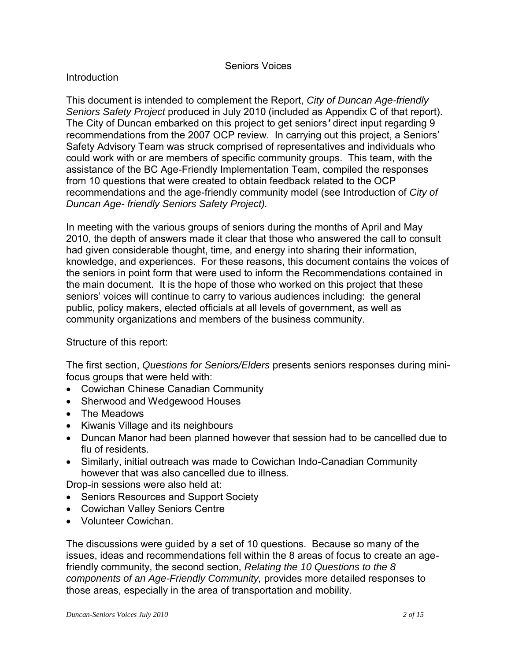#### Seniors Voices

#### **Introduction**

This document is intended to complement the Report, *City of Duncan Age-friendly Seniors Safety Project* produced in July 2010 (included as Appendix C of that report). The City of Duncan embarked on this project to get seniors*'* direct input regarding 9 recommendations from the 2007 OCP review. In carrying out this project, a Seniors" Safety Advisory Team was struck comprised of representatives and individuals who could work with or are members of specific community groups. This team, with the assistance of the BC Age-Friendly Implementation Team, compiled the responses from 10 questions that were created to obtain feedback related to the OCP recommendations and the age-friendly community model (see Introduction of *City of Duncan Age- friendly Seniors Safety Project).*

In meeting with the various groups of seniors during the months of April and May 2010, the depth of answers made it clear that those who answered the call to consult had given considerable thought, time, and energy into sharing their information, knowledge, and experiences. For these reasons, this document contains the voices of the seniors in point form that were used to inform the Recommendations contained in the main document. It is the hope of those who worked on this project that these seniors" voices will continue to carry to various audiences including: the general public, policy makers, elected officials at all levels of government, as well as community organizations and members of the business community.

#### Structure of this report:

The first section, *Questions for Seniors/Elders* presents seniors responses during minifocus groups that were held with:

- Cowichan Chinese Canadian Community
- Sherwood and Wedgewood Houses
- The Meadows
- Kiwanis Village and its neighbours
- Duncan Manor had been planned however that session had to be cancelled due to flu of residents.
- Similarly, initial outreach was made to Cowichan Indo-Canadian Community however that was also cancelled due to illness.

Drop-in sessions were also held at:

- Seniors Resources and Support Society
- Cowichan Valley Seniors Centre
- Volunteer Cowichan.

The discussions were guided by a set of 10 questions. Because so many of the issues, ideas and recommendations fell within the 8 areas of focus to create an agefriendly community, the second section, *Relating the 10 Questions to the 8 components of an Age-Friendly Community,* provides more detailed responses to those areas, especially in the area of transportation and mobility.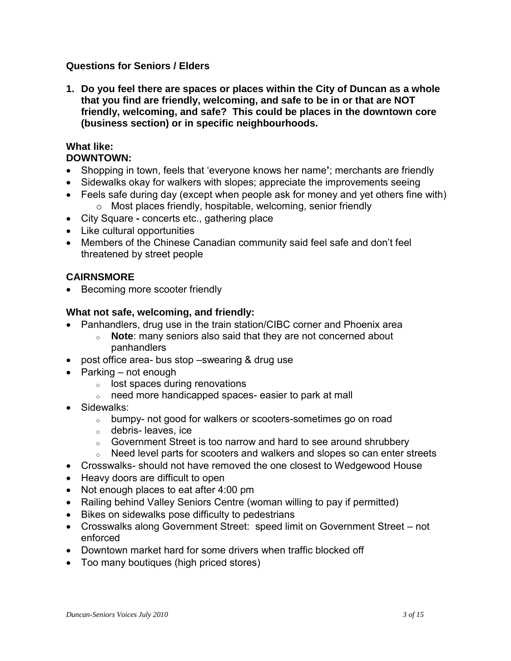### **Questions for Seniors / Elders**

**1. Do you feel there are spaces or places within the City of Duncan as a whole that you find are friendly, welcoming, and safe to be in or that are NOT friendly, welcoming, and safe? This could be places in the downtown core (business section) or in specific neighbourhoods.** 

#### **What like: DOWNTOWN:**

- Shopping in town, feels that "everyone knows her name**'**; merchants are friendly
- Sidewalks okay for walkers with slopes; appreciate the improvements seeing
- Feels safe during day (except when people ask for money and yet others fine with) o Most places friendly, hospitable, welcoming, senior friendly
- City Square **-** concerts etc., gathering place
- Like cultural opportunities
- Members of the Chinese Canadian community said feel safe and don"t feel threatened by street people

## **CAIRNSMORE**

• Becoming more scooter friendly

#### **What not safe, welcoming, and friendly:**

- Panhandlers, drug use in the train station/CIBC corner and Phoenix area
	- <sup>o</sup> **Note**: many seniors also said that they are not concerned about panhandlers
- post office area- bus stop –swearing & drug use
- $\bullet$  Parking not enough
	- $\circ$  lost spaces during renovations
	- <sup>o</sup> need more handicapped spaces- easier to park at mall
- Sidewalks:
	- <sup>o</sup> bumpy- not good for walkers or scooters-sometimes go on road
	- <sup>o</sup> debris- leaves, ice
	- <sup>o</sup> Government Street is too narrow and hard to see around shrubbery
	- o Need level parts for scooters and walkers and slopes so can enter streets
- Crosswalks- should not have removed the one closest to Wedgewood House
- Heavy doors are difficult to open
- Not enough places to eat after 4:00 pm
- Railing behind Valley Seniors Centre (woman willing to pay if permitted)
- Bikes on sidewalks pose difficulty to pedestrians
- Crosswalks along Government Street: speed limit on Government Street not enforced
- Downtown market hard for some drivers when traffic blocked off
- Too many boutiques (high priced stores)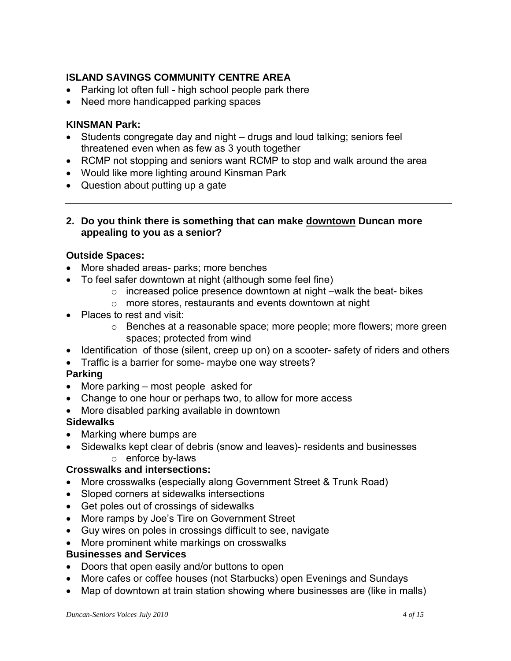## **ISLAND SAVINGS COMMUNITY CENTRE AREA**

- Parking lot often full high school people park there
- Need more handicapped parking spaces

#### **KINSMAN Park:**

- Students congregate day and night drugs and loud talking; seniors feel threatened even when as few as 3 youth together
- RCMP not stopping and seniors want RCMP to stop and walk around the area
- Would like more lighting around Kinsman Park
- Question about putting up a gate
- **2. Do you think there is something that can make downtown Duncan more appealing to you as a senior?**

#### **Outside Spaces:**

- More shaded areas- parks; more benches
- To feel safer downtown at night (although some feel fine)
	- o increased police presence downtown at night –walk the beat- bikes
	- o more stores, restaurants and events downtown at night
- Places to rest and visit:
	- o Benches at a reasonable space; more people; more flowers; more green spaces; protected from wind
- Identification of those (silent, creep up on) on a scooter- safety of riders and others
- Traffic is a barrier for some- maybe one way streets?

#### **Parking**

- More parking most people asked for
- Change to one hour or perhaps two, to allow for more access
- More disabled parking available in downtown

## **Sidewalks**

- Marking where bumps are
- Sidewalks kept clear of debris (snow and leaves)- residents and businesses o enforce by-laws

#### **Crosswalks and intersections:**

- More crosswalks (especially along Government Street & Trunk Road)
- Sloped corners at sidewalks intersections
- Get poles out of crossings of sidewalks
- More ramps by Joe's Tire on Government Street
- Guy wires on poles in crossings difficult to see, navigate
- More prominent white markings on crosswalks

## **Businesses and Services**

- Doors that open easily and/or buttons to open
- More cafes or coffee houses (not Starbucks) open Evenings and Sundays
- Map of downtown at train station showing where businesses are (like in malls)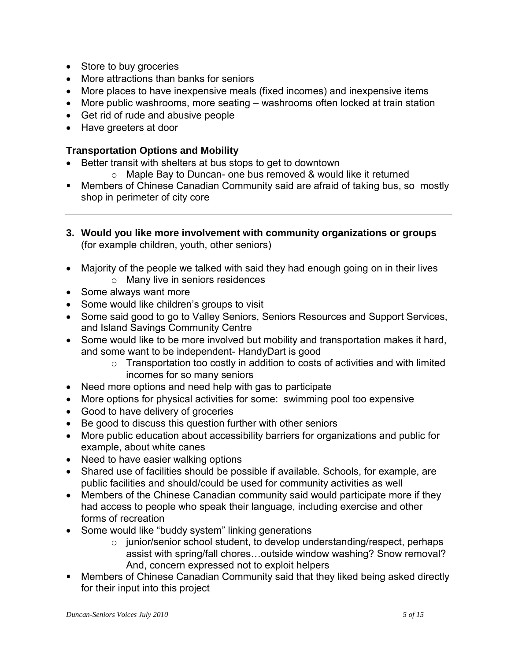- Store to buy groceries
- More attractions than banks for seniors
- More places to have inexpensive meals (fixed incomes) and inexpensive items
- More public washrooms, more seating washrooms often locked at train station
- Get rid of rude and abusive people
- Have greeters at door

### **Transportation Options and Mobility**

- Better transit with shelters at bus stops to get to downtown
	- o Maple Bay to Duncan- one bus removed & would like it returned
- Members of Chinese Canadian Community said are afraid of taking bus, so mostly shop in perimeter of city core
- **3. Would you like more involvement with community organizations or groups** (for example children, youth, other seniors)
- Majority of the people we talked with said they had enough going on in their lives o Many live in seniors residences
- Some always want more
- Some would like children's groups to visit
- Some said good to go to Valley Seniors, Seniors Resources and Support Services, and Island Savings Community Centre
- Some would like to be more involved but mobility and transportation makes it hard, and some want to be independent- HandyDart is good
	- $\circ$  Transportation too costly in addition to costs of activities and with limited incomes for so many seniors
- Need more options and need help with gas to participate
- More options for physical activities for some: swimming pool too expensive
- Good to have delivery of groceries
- Be good to discuss this question further with other seniors
- More public education about accessibility barriers for organizations and public for example, about white canes
- Need to have easier walking options
- Shared use of facilities should be possible if available. Schools, for example, are public facilities and should/could be used for community activities as well
- Members of the Chinese Canadian community said would participate more if they had access to people who speak their language, including exercise and other forms of recreation
- Some would like "buddy system" linking generations
	- o junior/senior school student, to develop understanding/respect, perhaps assist with spring/fall chores…outside window washing? Snow removal? And, concern expressed not to exploit helpers
- Members of Chinese Canadian Community said that they liked being asked directly for their input into this project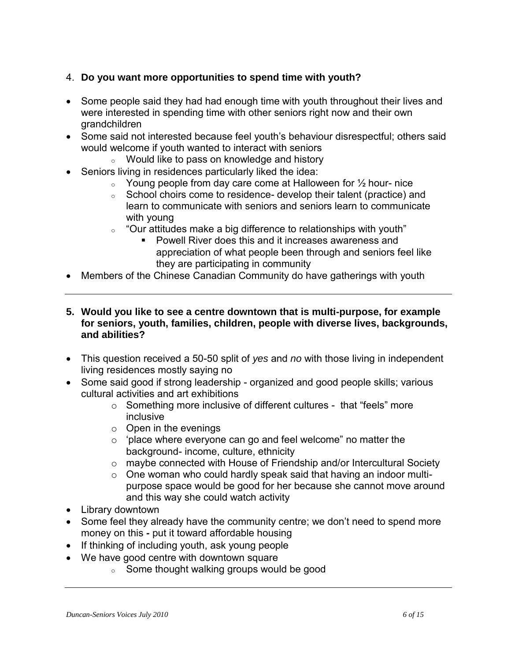## 4. **Do you want more opportunities to spend time with youth?**

- Some people said they had had enough time with youth throughout their lives and were interested in spending time with other seniors right now and their own grandchildren
- Some said not interested because feel youth's behaviour disrespectful; others said would welcome if youth wanted to interact with seniors
	- <sup>o</sup> Would like to pass on knowledge and history
- Seniors living in residences particularly liked the idea:
	- $\circ$  Young people from day care come at Halloween for  $\frac{1}{2}$  hour-nice
	- <sup>o</sup> School choirs come to residence- develop their talent (practice) and learn to communicate with seniors and seniors learn to communicate with young
	- $\degree$  "Our attitudes make a big difference to relationships with youth"
		- Powell River does this and it increases awareness and appreciation of what people been through and seniors feel like they are participating in community
- Members of the Chinese Canadian Community do have gatherings with youth
- **5. Would you like to see a centre downtown that is multi-purpose, for example for seniors, youth, families, children, people with diverse lives, backgrounds, and abilities?**
- This question received a 50-50 split of *yes* and *no* with those living in independent living residences mostly saying no
- Some said good if strong leadership organized and good people skills; various cultural activities and art exhibitions
	- o Something more inclusive of different cultures that "feels" more inclusive
	- $\circ$  Open in the evenings
	- o "place where everyone can go and feel welcome" no matter the background- income, culture, ethnicity
	- o maybe connected with House of Friendship and/or Intercultural Society
	- o One woman who could hardly speak said that having an indoor multipurpose space would be good for her because she cannot move around and this way she could watch activity
- Library downtown
- Some feel they already have the community centre; we don't need to spend more money on this *-* put it toward affordable housing
- If thinking of including youth, ask young people
- We have good centre with downtown square
	- <sup>o</sup> Some thought walking groups would be good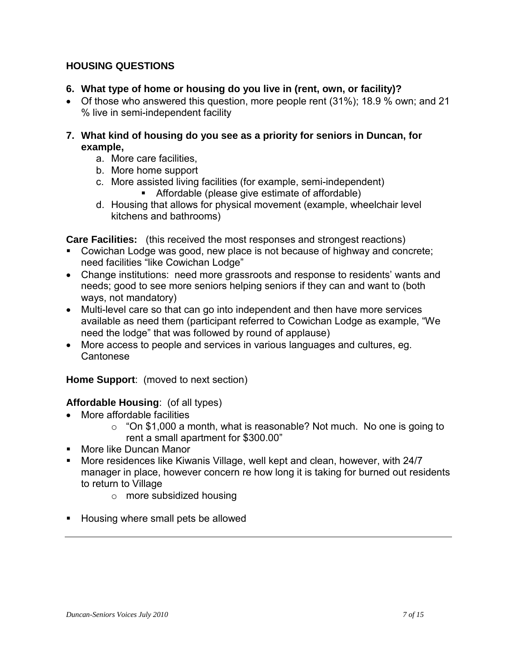## **HOUSING QUESTIONS**

- **6. What type of home or housing do you live in (rent, own, or facility)?**
- Of those who answered this question, more people rent (31%); 18.9 % own; and 21 % live in semi-independent facility
- **7. What kind of housing do you see as a priority for seniors in Duncan, for example,** 
	- a. More care facilities,
	- b. More home support
	- c. More assisted living facilities (for example, semi-independent) Affordable (please give estimate of affordable)
	- d. Housing that allows for physical movement (example, wheelchair level kitchens and bathrooms)

**Care Facilities:** (this received the most responses and strongest reactions)

- Cowichan Lodge was good, new place is not because of highway and concrete; need facilities "like Cowichan Lodge"
- Change institutions: need more grassroots and response to residents' wants and needs; good to see more seniors helping seniors if they can and want to (both ways, not mandatory)
- Multi-level care so that can go into independent and then have more services available as need them (participant referred to Cowichan Lodge as example, "We need the lodge" that was followed by round of applause)
- More access to people and services in various languages and cultures, eg. Cantonese

**Home Support**: (moved to next section)

## **Affordable Housing**: (of all types)

- More affordable facilities
	- $\circ$  "On \$1,000 a month, what is reasonable? Not much. No one is going to rent a small apartment for \$300.00"
- **More like Duncan Manor**
- **More residences like Kiwanis Village, well kept and clean, however, with 24/7** manager in place, however concern re how long it is taking for burned out residents to return to Village
	- o more subsidized housing
- **Housing where small pets be allowed**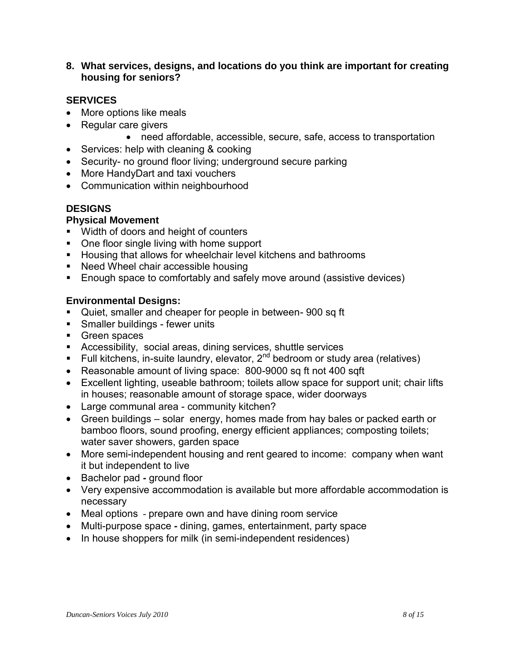**8. What services, designs, and locations do you think are important for creating housing for seniors?**

### **SERVICES**

- More options like meals
- Regular care givers
	- need affordable, accessible, secure, safe, access to transportation
- Services: help with cleaning & cooking
- Security- no ground floor living; underground secure parking
- More HandyDart and taxi vouchers
- Communication within neighbourhood

### **DESIGNS**

### **Physical Movement**

- **Width of doors and height of counters**
- One floor single living with home support
- **Housing that allows for wheelchair level kitchens and bathrooms**
- Need Wheel chair accessible housing
- **Enough space to comfortably and safely move around (assistive devices)**

### **Environmental Designs:**

- Quiet, smaller and cheaper for people in between- 900 sq ft
- **Smaller buildings fewer units**
- Green spaces
- Accessibility, social areas, dining services, shuttle services
- Full kitchens, in-suite laundry, elevator,  $2^{nd}$  bedroom or study area (relatives)
- Reasonable amount of living space: 800-9000 sq ft not 400 sqft
- Excellent lighting, useable bathroom; toilets allow space for support unit; chair lifts in houses; reasonable amount of storage space, wider doorways
- Large communal area community kitchen?
- Green buildings solar energy, homes made from hay bales or packed earth or bamboo floors, sound proofing, energy efficient appliances; composting toilets; water saver showers, garden space
- More semi-independent housing and rent geared to income: company when want it but independent to live
- Bachelor pad *-* ground floor
- Very expensive accommodation is available but more affordable accommodation is necessary
- Meal options prepare own and have dining room service
- Multi-purpose space *-* dining, games, entertainment, party space
- In house shoppers for milk (in semi-independent residences)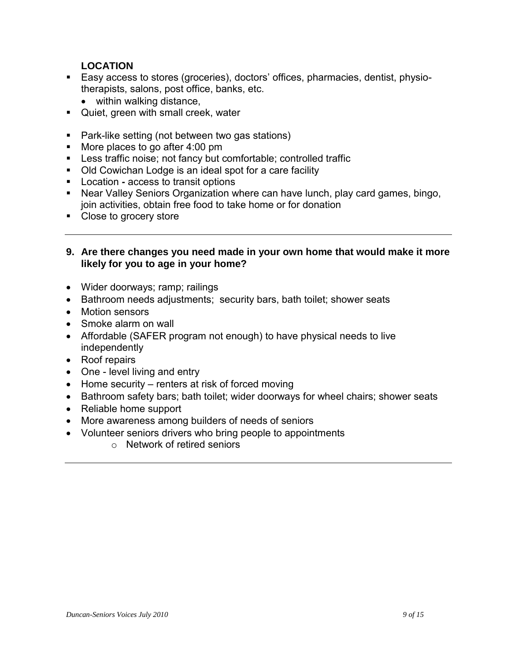## **LOCATION**

- **Easy access to stores (groceries), doctors' offices, pharmacies, dentist, physio**therapists, salons, post office, banks, etc.
	- within walking distance,
- **Quiet, green with small creek, water**
- Park-like setting (not between two gas stations)
- More places to go after 4:00 pm
- Less traffic noise; not fancy but comfortable; controlled traffic
- Old Cowichan Lodge is an ideal spot for a care facility
- Location *-* access to transit options
- Near Valley Seniors Organization where can have lunch, play card games, bingo, join activities, obtain free food to take home or for donation
- Close to grocery store
- **9. Are there changes you need made in your own home that would make it more likely for you to age in your home?**
- Wider doorways; ramp; railings
- Bathroom needs adjustments; security bars, bath toilet; shower seats
- Motion sensors
- Smoke alarm on wall
- Affordable (SAFER program not enough) to have physical needs to live independently
- Roof repairs
- One level living and entry
- $\bullet$  Home security renters at risk of forced moving
- Bathroom safety bars; bath toilet; wider doorways for wheel chairs; shower seats
- Reliable home support
- More awareness among builders of needs of seniors
- Volunteer seniors drivers who bring people to appointments
	- o Network of retired seniors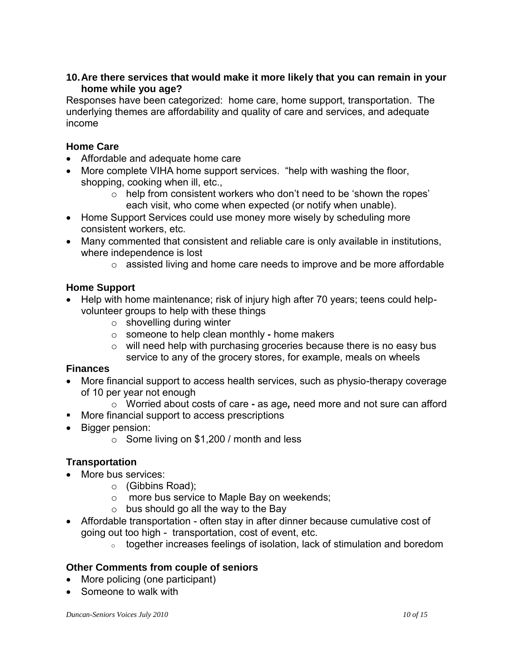### **10.Are there services that would make it more likely that you can remain in your home while you age?**

Responses have been categorized: home care, home support, transportation. The underlying themes are affordability and quality of care and services, and adequate income

## **Home Care**

- Affordable and adequate home care
- More complete VIHA home support services. "help with washing the floor, shopping, cooking when ill, etc.,
	- $\circ$  help from consistent workers who don't need to be 'shown the ropes' each visit, who come when expected (or notify when unable).
- Home Support Services could use money more wisely by scheduling more consistent workers, etc.
- Many commented that consistent and reliable care is only available in institutions, where independence is lost
	- $\circ$  assisted living and home care needs to improve and be more affordable

## **Home Support**

- Help with home maintenance; risk of injury high after 70 years; teens could helpvolunteer groups to help with these things
	- $\circ$  shovelling during winter
	- o someone to help clean monthly *-* home makers
	- o will need help with purchasing groceries because there is no easy bus service to any of the grocery stores, for example, meals on wheels

## **Finances**

- More financial support to access health services, such as physio-therapy coverage of 10 per year not enough
	- o Worried about costs of care *-* as age*,* need more and not sure can afford
- **More financial support to access prescriptions**
- Bigger pension:
	- o Some living on \$1,200 / month and less

## **Transportation**

- More bus services:
	- o (Gibbins Road);
	- o more bus service to Maple Bay on weekends;
	- $\circ$  bus should go all the way to the Bay
- Affordable transportation often stay in after dinner because cumulative cost of going out too high - transportation, cost of event, etc.
	- $\circ$  together increases feelings of isolation, lack of stimulation and boredom

## **Other Comments from couple of seniors**

- More policing (one participant)
- Someone to walk with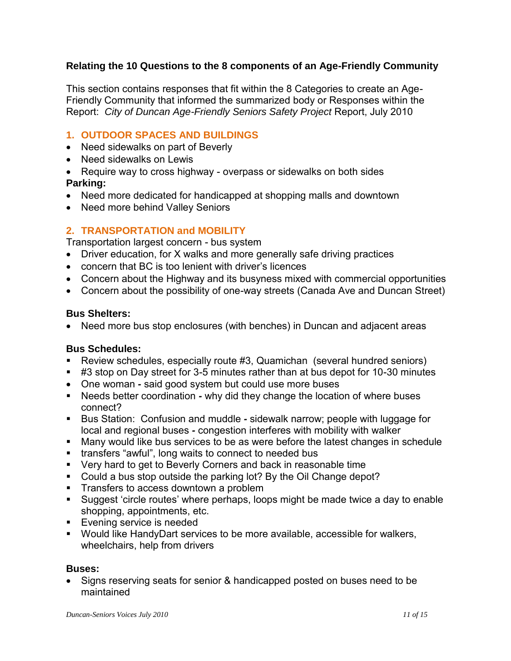### **Relating the 10 Questions to the 8 components of an Age-Friendly Community**

This section contains responses that fit within the 8 Categories to create an Age-Friendly Community that informed the summarized body or Responses within the Report: *City of Duncan Age-Friendly Seniors Safety Project* Report, July 2010

## **1. OUTDOOR SPACES AND BUILDINGS**

- Need sidewalks on part of Beverly
- Need sidewalks on Lewis
- Require way to cross highway overpass or sidewalks on both sides **Parking:**
- Need more dedicated for handicapped at shopping malls and downtown
- Need more behind Valley Seniors

## **2. TRANSPORTATION and MOBILITY**

Transportation largest concern - bus system

- Driver education, for X walks and more generally safe driving practices
- concern that BC is too lenient with driver"s licences
- Concern about the Highway and its busyness mixed with commercial opportunities
- Concern about the possibility of one-way streets (Canada Ave and Duncan Street)

#### **Bus Shelters:**

Need more bus stop enclosures (with benches) in Duncan and adjacent areas

#### **Bus Schedules:**

- Review schedules, especially route #3, Quamichan (several hundred seniors)
- #3 stop on Day street for 3-5 minutes rather than at bus depot for 10-30 minutes
- One woman *-* said good system but could use more buses
- Needs better coordination *-* why did they change the location of where buses connect?
- Bus Station: Confusion and muddle *-* sidewalk narrow; people with luggage for local and regional buses *-* congestion interferes with mobility with walker
- Many would like bus services to be as were before the latest changes in schedule
- **transfers "awful", long waits to connect to needed bus**
- **Very hard to get to Beverly Corners and back in reasonable time**
- **Could a bus stop outside the parking lot? By the Oil Change depot?**
- **Transfers to access downtown a problem**
- Suggest "circle routes" where perhaps, loops might be made twice a day to enable shopping, appointments, etc.
- **Evening service is needed**
- Would like HandyDart services to be more available, accessible for walkers, wheelchairs, help from drivers

#### **Buses:**

• Signs reserving seats for senior & handicapped posted on buses need to be maintained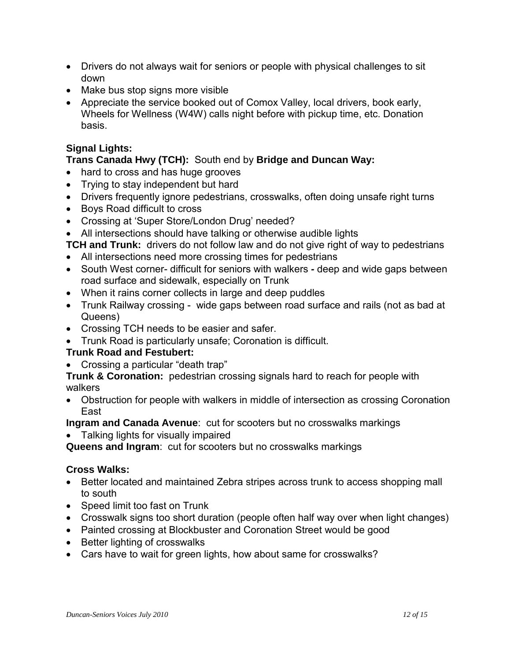- Drivers do not always wait for seniors or people with physical challenges to sit down
- Make bus stop signs more visible
- Appreciate the service booked out of Comox Valley, local drivers, book early, Wheels for Wellness (W4W) calls night before with pickup time, etc. Donation basis.

## **Signal Lights:**

## **Trans Canada Hwy (TCH):** South end by **Bridge and Duncan Way:**

- hard to cross and has huge grooves
- Trying to stay independent but hard
- Drivers frequently ignore pedestrians, crosswalks, often doing unsafe right turns
- Boys Road difficult to cross
- Crossing at 'Super Store/London Drug' needed?
- All intersections should have talking or otherwise audible lights

**TCH and Trunk:** drivers do not follow law and do not give right of way to pedestrians

- All intersections need more crossing times for pedestrians
- South West corner- difficult for seniors with walkers *-* deep and wide gaps between road surface and sidewalk, especially on Trunk
- When it rains corner collects in large and deep puddles
- Trunk Railway crossing -wide gaps between road surface and rails (not as bad at Queens)
- Crossing TCH needs to be easier and safer.
- Trunk Road is particularly unsafe; Coronation is difficult.

## **Trunk Road and Festubert:**

Crossing a particular "death trap"

**Trunk & Coronation:** pedestrian crossing signals hard to reach for people with walkers

 Obstruction for people with walkers in middle of intersection as crossing Coronation East

**Ingram and Canada Avenue**: cut for scooters but no crosswalks markings

• Talking lights for visually impaired

**Queens and Ingram**: cut for scooters but no crosswalks markings

#### **Cross Walks:**

- Better located and maintained Zebra stripes across trunk to access shopping mall to south
- Speed limit too fast on Trunk
- Crosswalk signs too short duration (people often half way over when light changes)
- Painted crossing at Blockbuster and Coronation Street would be good
- Better lighting of crosswalks
- Cars have to wait for green lights, how about same for crosswalks?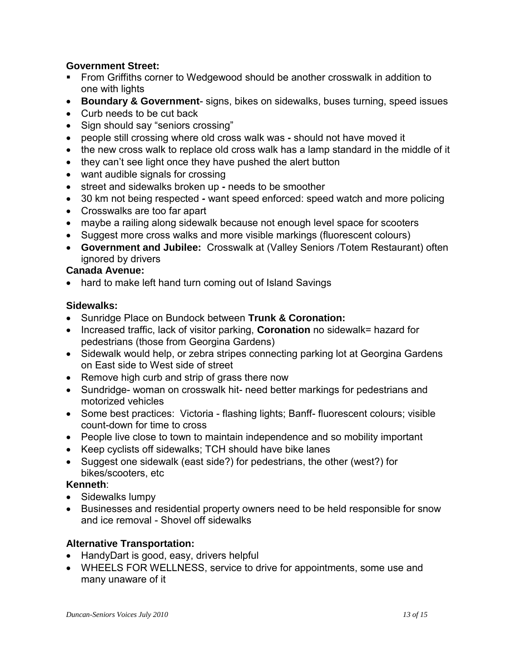### **Government Street:**

- From Griffiths corner to Wedgewood should be another crosswalk in addition to one with lights
- **Boundary & Government** signs, bikes on sidewalks, buses turning, speed issues
- Curb needs to be cut back
- Sign should say "seniors crossing"
- people still crossing where old cross walk was *-* should not have moved it
- the new cross walk to replace old cross walk has a lamp standard in the middle of it
- they can't see light once they have pushed the alert button
- want audible signals for crossing
- street and sidewalks broken up *-* needs to be smoother
- 30 km not being respected *-* want speed enforced: speed watch and more policing
- Crosswalks are too far apart
- maybe a railing along sidewalk because not enough level space for scooters
- Suggest more cross walks and more visible markings (fluorescent colours)
- **Government and Jubilee:** Crosswalk at (Valley Seniors /Totem Restaurant) often ignored by drivers

#### **Canada Avenue:**

• hard to make left hand turn coming out of Island Savings

#### **Sidewalks:**

- Sunridge Place on Bundock between **Trunk & Coronation:**
- Increased traffic, lack of visitor parking, **Coronation** no sidewalk= hazard for pedestrians (those from Georgina Gardens)
- Sidewalk would help, or zebra stripes connecting parking lot at Georgina Gardens on East side to West side of street
- Remove high curb and strip of grass there now
- Sundridge- woman on crosswalk hit- need better markings for pedestrians and motorized vehicles
- Some best practices: Victoria flashing lights; Banff- fluorescent colours; visible count-down for time to cross
- People live close to town to maintain independence and so mobility important
- Keep cyclists off sidewalks; TCH should have bike lanes
- Suggest one sidewalk (east side?) for pedestrians, the other (west?) for bikes/scooters, etc

#### **Kenneth**:

- Sidewalks lumpy
- Businesses and residential property owners need to be held responsible for snow and ice removal - Shovel off sidewalks

## **Alternative Transportation:**

- HandyDart is good, easy, drivers helpful
- WHEELS FOR WELLNESS, service to drive for appointments, some use and many unaware of it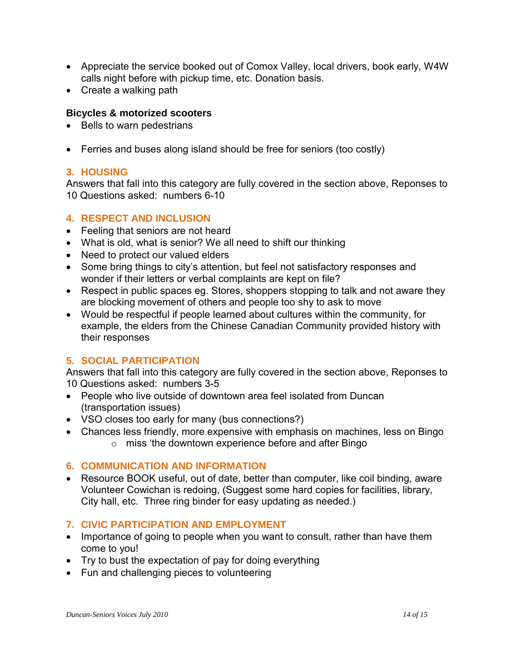- Appreciate the service booked out of Comox Valley, local drivers, book early, W4W calls night before with pickup time, etc. Donation basis.
- Create a walking path

### **Bicycles & motorized scooters**

- Bells to warn pedestrians
- Ferries and buses along island should be free for seniors (too costly)

## **3. HOUSING**

Answers that fall into this category are fully covered in the section above, Reponses to 10 Questions asked: numbers 6-10

### **4. RESPECT AND INCLUSION**

- Feeling that seniors are not heard
- What is old, what is senior? We all need to shift our thinking
- Need to protect our valued elders
- Some bring things to city's attention, but feel not satisfactory responses and wonder if their letters or verbal complaints are kept on file?
- Respect in public spaces eg. Stores, shoppers stopping to talk and not aware they are blocking movement of others and people too shy to ask to move
- Would be respectful if people learned about cultures within the community, for example, the elders from the Chinese Canadian Community provided history with their responses

## **5. SOCIAL PARTICIPATION**

Answers that fall into this category are fully covered in the section above, Reponses to 10 Questions asked: numbers 3-5

- People who live outside of downtown area feel isolated from Duncan (transportation issues)
- VSO closes too early for many (bus connections?)
- Chances less friendly, more expensive with emphasis on machines, less on Bingo o miss "the downtown experience before and after Bingo

#### **6. COMMUNICATION AND INFORMATION**

• Resource BOOK useful, out of date, better than computer, like coil binding, aware Volunteer Cowichan is redoing, (Suggest some hard copies for facilities, library, City hall, etc. Three ring binder for easy updating as needed.)

## **7. CIVIC PARTICIPATION AND EMPLOYMENT**

- Importance of going to people when you want to consult, rather than have them come to you!
- Try to bust the expectation of pay for doing everything
- Fun and challenging pieces to volunteering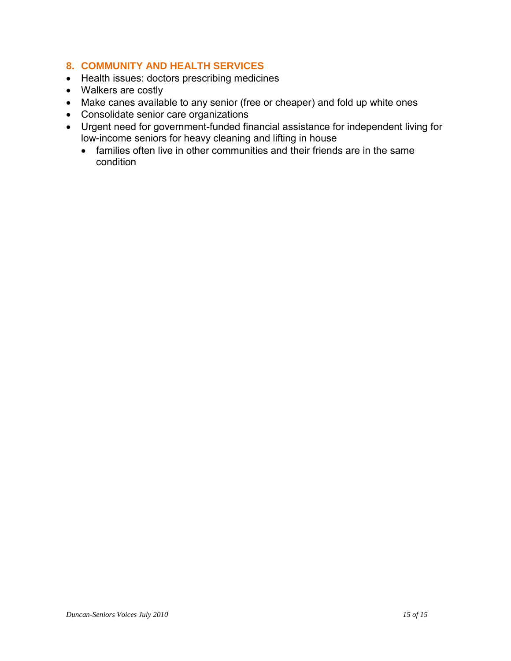## **8. COMMUNITY AND HEALTH SERVICES**

- Health issues: doctors prescribing medicines
- Walkers are costly
- Make canes available to any senior (free or cheaper) and fold up white ones
- Consolidate senior care organizations
- Urgent need for government-funded financial assistance for independent living for low-income seniors for heavy cleaning and lifting in house
	- families often live in other communities and their friends are in the same condition